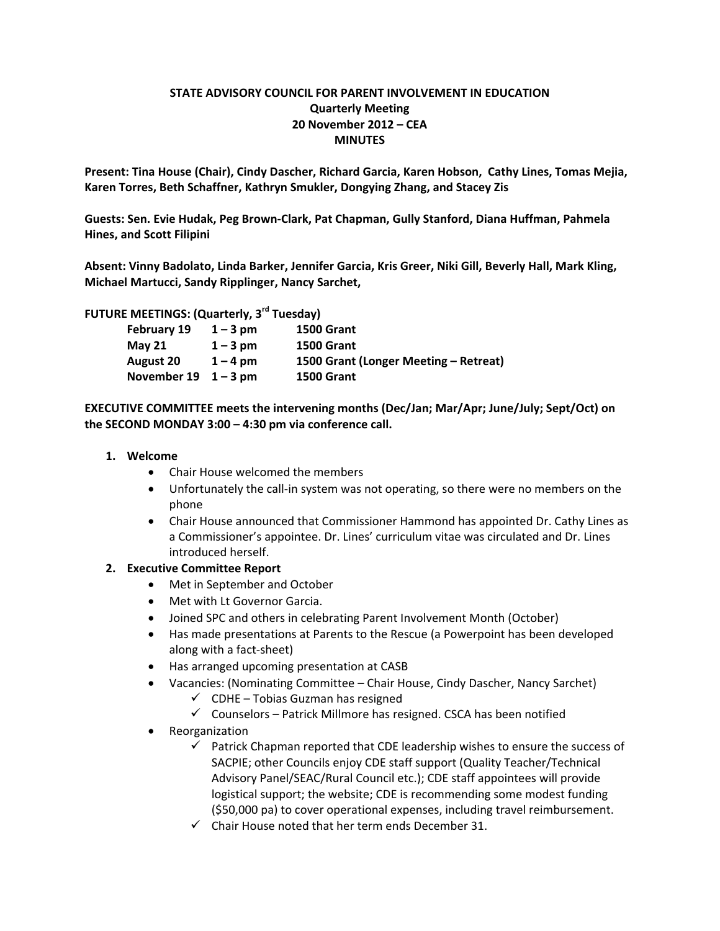## **STATE ADVISORY COUNCIL FOR PARENT INVOLVEMENT IN EDUCATION Quarterly Meeting 20 November 2012 – CEA MINUTES**

**Present: Tina House (Chair), Cindy Dascher, Richard Garcia, Karen Hobson, Cathy Lines, Tomas Mejia, Karen Torres, Beth Schaffner, Kathryn Smukler, Dongying Zhang, and Stacey Zis**

**Guests: Sen. Evie Hudak, Peg Brown‐Clark, Pat Chapman, Gully Stanford, Diana Huffman, Pahmela Hines, and Scott Filipini**

**Absent: Vinny Badolato, Linda Barker, Jennifer Garcia, Kris Greer, Niki Gill, Beverly Hall, Mark Kling, Michael Martucci, Sandy Ripplinger, Nancy Sarchet,** 

**FUTURE MEETINGS: (Quarterly, 3rd Tuesday)**

| <b>February 19</b>                 | $1 - 3$ pm | <b>1500 Grant</b>                     |
|------------------------------------|------------|---------------------------------------|
| <b>May 21</b>                      | $1 - 3$ pm | <b>1500 Grant</b>                     |
| <b>August 20</b>                   | $1 - 4$ pm | 1500 Grant (Longer Meeting – Retreat) |
| November $19 \quad 1-3 \text{ pm}$ |            | <b>1500 Grant</b>                     |

**EXECUTIVE COMMITTEE meets the intervening months (Dec/Jan; Mar/Apr; June/July; Sept/Oct) on the SECOND MONDAY 3:00 – 4:30 pm via conference call.**

#### **1. Welcome**

- Chair House welcomed the members
- Unfortunately the call-in system was not operating, so there were no members on the phone
- Chair House announced that Commissioner Hammond has appointed Dr. Cathy Lines as a Commissioner's appointee. Dr. Lines' curriculum vitae was circulated and Dr. Lines introduced herself.

#### **2. Executive Committee Report**

- Met in September and October
- Met with Lt Governor Garcia.
- Joined SPC and others in celebrating Parent Involvement Month (October)
- Has made presentations at Parents to the Rescue (a Powerpoint has been developed along with a fact‐sheet)
- Has arranged upcoming presentation at CASB
- Vacancies: (Nominating Committee Chair House, Cindy Dascher, Nancy Sarchet)
	- $\checkmark$  CDHE Tobias Guzman has resigned
	- $\checkmark$  Counselors Patrick Millmore has resigned. CSCA has been notified
- **•** Reorganization
	- $\checkmark$  Patrick Chapman reported that CDE leadership wishes to ensure the success of SACPIE; other Councils enjoy CDE staff support (Quality Teacher/Technical Advisory Panel/SEAC/Rural Council etc.); CDE staff appointees will provide logistical support; the website; CDE is recommending some modest funding (\$50,000 pa) to cover operational expenses, including travel reimbursement.
	- $\checkmark$  Chair House noted that her term ends December 31.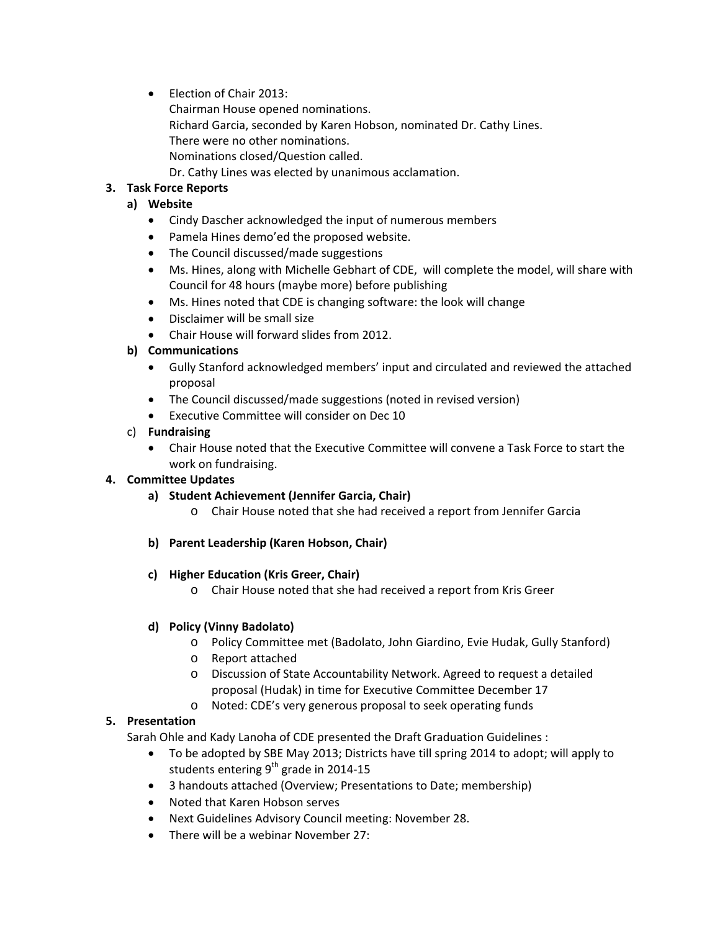• Election of Chair 2013: Chairman House opened nominations. Richard Garcia, seconded by Karen Hobson, nominated Dr. Cathy Lines. There were no other nominations. Nominations closed/Question called. Dr. Cathy Lines was elected by unanimous acclamation.

# **3. Task Force Reports**

## **a) Website**

- Cindy Dascher acknowledged the input of numerous members
- Pamela Hines demo'ed the proposed website.
- The Council discussed/made suggestions
- Ms. Hines, along with Michelle Gebhart of CDE, will complete the model, will share with Council for 48 hours (maybe more) before publishing
- Ms. Hines noted that CDE is changing software: the look will change
- Disclaimer will be small size
- Chair House will forward slides from 2012.

#### **b) Communications**

- Gully Stanford acknowledged members' input and circulated and reviewed the attached proposal
- The Council discussed/made suggestions (noted in revised version)
- Executive Committee will consider on Dec 10

## c) **Fundraising**

 Chair House noted that the Executive Committee will convene a Task Force to start the work on fundraising.

#### **4. Committee Updates**

- **a) Student Achievement (Jennifer Garcia, Chair)**
	- o Chair House noted that she had received a report from Jennifer Garcia

#### **b) Parent Leadership (Karen Hobson, Chair)**

#### **c) Higher Education (Kris Greer, Chair)**

o Chair House noted that she had received a report from Kris Greer

#### **d) Policy (Vinny Badolato)**

- o Policy Committee met (Badolato, John Giardino, Evie Hudak, Gully Stanford)
- o Report attached
- o Discussion of State Accountability Network. Agreed to request a detailed proposal (Hudak) in time for Executive Committee December 17
- o Noted: CDE's very generous proposal to seek operating funds

#### **5. Presentation**

Sarah Ohle and Kady Lanoha of CDE presented the Draft Graduation Guidelines :

- To be adopted by SBE May 2013; Districts have till spring 2014 to adopt; will apply to students entering  $9<sup>th</sup>$  grade in 2014-15
- 3 handouts attached (Overview; Presentations to Date; membership)
- Noted that Karen Hobson serves
- Next Guidelines Advisory Council meeting: November 28.
- There will be a webinar November 27: